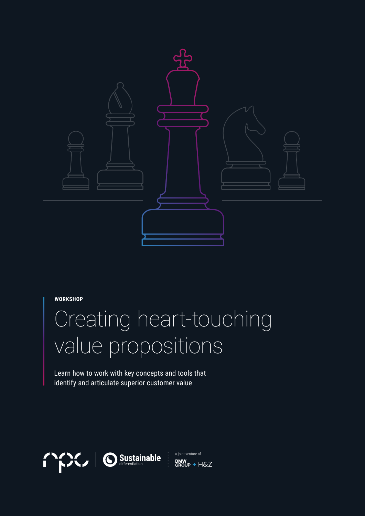

**WORKSHOP**

# Creating heart-touching value propositions

Learn how to work with key concepts and tools that identify and articulate superior customer value

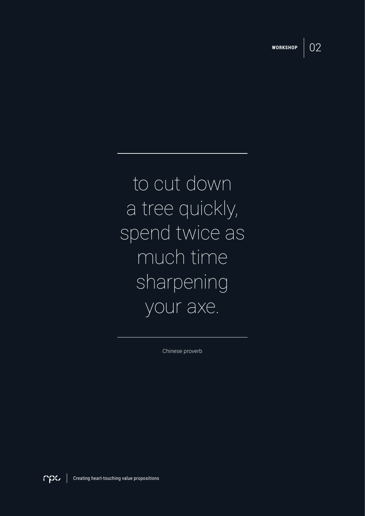

to cut down a tree quickly, spend twice as much time sharpening your axe.

Chinese proverb

mpa Creating heart-touching value propositions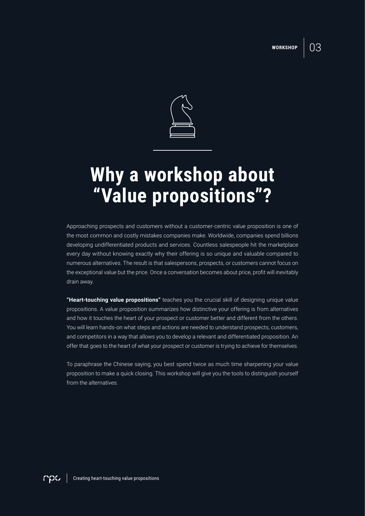03



### **Why a workshop about "Value propositions"?**

Approaching prospects and customers without a customer-centric value proposition is one of the most common and costly mistakes companies make. Worldwide, companies spend billions developing undifferentiated products and services. Countless salespeople hit the marketplace every day without knowing exactly why their offering is so unique and valuable compared to numerous alternatives. The result is that salespersons, prospects, or customers cannot focus on the exceptional value but the price. Once a conversation becomes about price, profit will inevitably drain away.

**"Heart-touching value propositions"** teaches you the crucial skill of designing unique value propositions. A value proposition summarizes how distinctive your offering is from alternatives and how it touches the heart of your prospect or customer better and different from the others. You will learn hands-on what steps and actions are needed to understand prospects, customers, and competitors in a way that allows you to develop a relevant and differentiated proposition. An offer that goes to the heart of what your prospect or customer is trying to achieve for themselves.

To paraphrase the Chinese saying, you best spend twice as much time sharpening your value proposition to make a quick closing. This workshop will give you the tools to distinguish yourself from the alternatives.

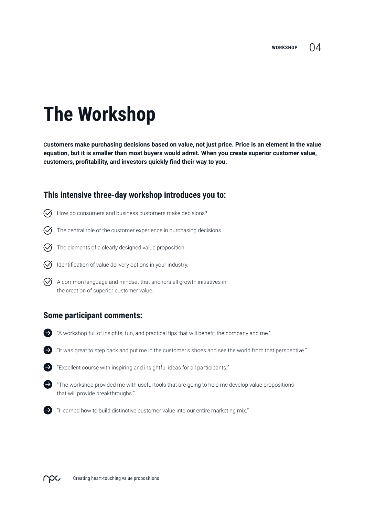04

## **The Workshop**

**Customers make purchasing decisions based on value, not just price. Price is an element in the value equation, but it is smaller than most buyers would admit. When you create superior customer value, customers, profitability, and investors quickly find their way to you.**

### **This intensive three-day workshop introduces you to:**

- $\heartsuit$  How do consumers and business customers make decisions?
- $\heartsuit$  The central role of the customer experience in purchasing decisions.
- $\heartsuit$  The elements of a clearly designed value proposition.
- $\bigcirc$  Identification of value delivery options in your industry.
- $\heartsuit$  A common language and mindset that anchors all growth initiatives in the creation of superior customer value.

### **Some participant comments:**

- "A workshop full of insights, fun, and practical tips that will benefit the company and me."
- "It was great to step back and put me in the customer's shoes and see the world from that perspective."



- "Excellent course with inspiring and insightful ideas for all participants."
- $\blacktriangleright$  "The workshop provided me with useful tools that are going to help me develop value propositions that will provide breakthroughs."
- "I learned how to build distinctive customer value into our entire marketing mix."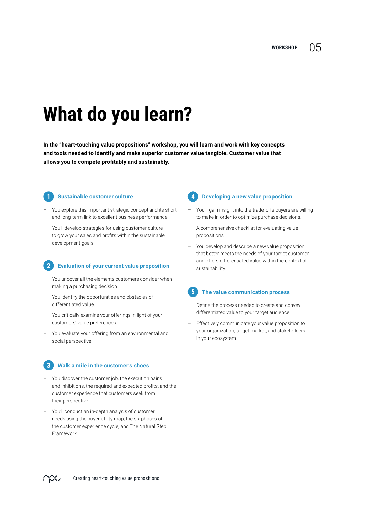**WORKSHOP**

## **What do you learn?**

**In the "heart-touching value propositions" workshop, you will learn and work with key concepts and tools needed to identify and make superior customer value tangible. Customer value that allows you to compete profitably and sustainably.**

**1**

#### **Sustainable customer culture**

- You explore this important strategic concept and its short and long-term link to excellent business performance.
- You'll develop strategies for using customer culture to grow your sales and profits within the sustainable development goals.

#### **Evaluation of your current value proposition 2**

- You uncover all the elements customers consider when making a purchasing decision.
- You identify the opportunities and obstacles of differentiated value.
- You critically examine your offerings in light of your customers' value preferences.
- You evaluate your offering from an environmental and social perspective.



#### **Walk a mile in the customer's shoes**

- You discover the customer job, the execution pains and inhibitions, the required and expected profits, and the customer experience that customers seek from their perspective.
- You'll conduct an in-depth analysis of customer needs using the buyer utility map, the six phases of the customer experience cycle, and The Natural Step Framework.

#### **Developing a new value proposition 4**

- You'll gain insight into the trade-offs buyers are willing to make in order to optimize purchase decisions.
- A comprehensive checklist for evaluating value propositions.
- You develop and describe a new value proposition that better meets the needs of your target customer and offers differentiated value within the context of sustainability.

#### **The value communication process 5**

- Define the process needed to create and convey differentiated value to your target audience.
- Effectively communicate your value proposition to your organization, target market, and stakeholders in your ecosystem.

05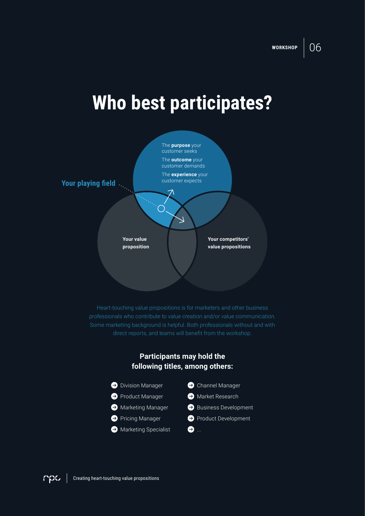## **Who best participates?**



Heart-touching value propositions is for marketers and other business professionals who contribute to value creation and/or value communication. direct reports, and teams will benefit from the workshop.

### **Participants may hold the following titles, among others:**

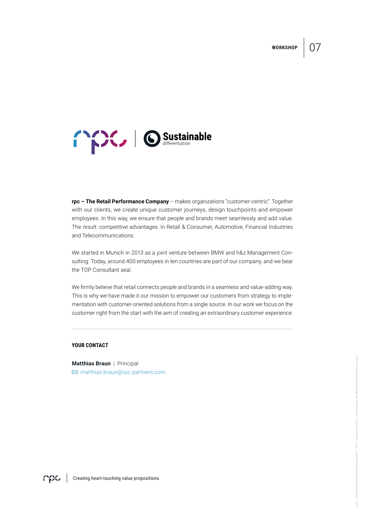**WORKSHOP**





**rpc – The Retail Performance Company** – makes organizations "customer-centric". Together with our clients, we create unique customer journeys, design touchpoints and empower employees. In this way, we ensure that people and brands meet seamlessly and add value. The result: competitive advantages. In Retail & Consumer, Automotive, Financial Industries and Telecommunications.

We started in Munich in 2013 as a joint venture between BMW and h&z Management Consulting. Today, around 400 employees in ten countries are part of our company, and we bear the TOP Consultant seal.

We firmly believe that retail connects people and brands in a seamless and value-adding way. This is why we have made it our mission to empower our customers from strategy to implementation with customer-oriented solutions from a single source. In our work we focus on the customer right from the start with the aim of creating an extraordinary customer experience.

#### **YOUR CONTACT**

**Matthias Braun** | Principal matthias.braun@rpc-partners.com

**CHOSE** Creating heart-touching value propositions